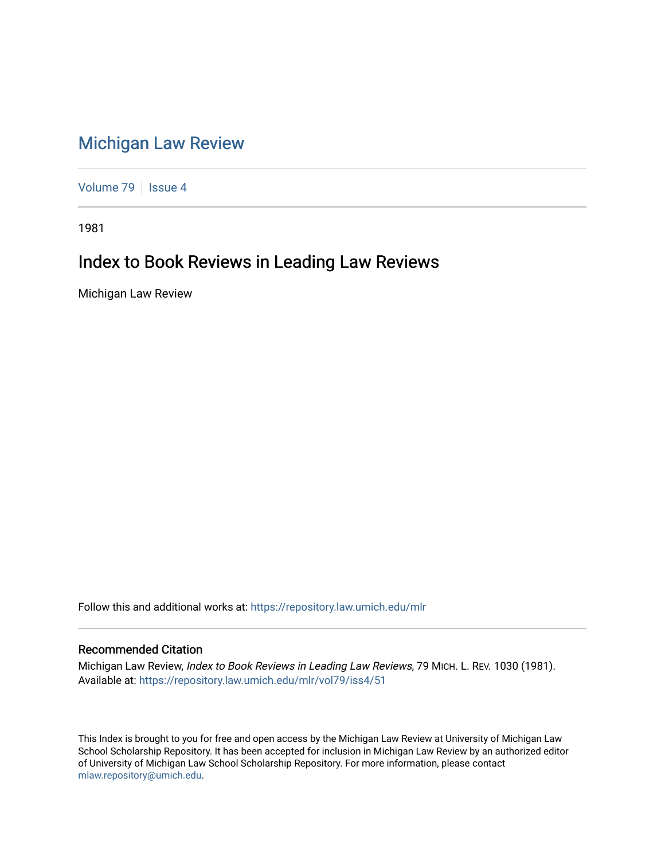## [Michigan Law Review](https://repository.law.umich.edu/mlr)

[Volume 79](https://repository.law.umich.edu/mlr/vol79) | [Issue 4](https://repository.law.umich.edu/mlr/vol79/iss4)

1981

## Index to Book Reviews in Leading Law Reviews

Michigan Law Review

Follow this and additional works at: [https://repository.law.umich.edu/mlr](https://repository.law.umich.edu/mlr?utm_source=repository.law.umich.edu%2Fmlr%2Fvol79%2Fiss4%2F51&utm_medium=PDF&utm_campaign=PDFCoverPages) 

## Recommended Citation

Michigan Law Review, Index to Book Reviews in Leading Law Reviews, 79 MICH. L. REV. 1030 (1981). Available at: [https://repository.law.umich.edu/mlr/vol79/iss4/51](https://repository.law.umich.edu/mlr/vol79/iss4/51?utm_source=repository.law.umich.edu%2Fmlr%2Fvol79%2Fiss4%2F51&utm_medium=PDF&utm_campaign=PDFCoverPages) 

This Index is brought to you for free and open access by the Michigan Law Review at University of Michigan Law School Scholarship Repository. It has been accepted for inclusion in Michigan Law Review by an authorized editor of University of Michigan Law School Scholarship Repository. For more information, please contact [mlaw.repository@umich.edu.](mailto:mlaw.repository@umich.edu)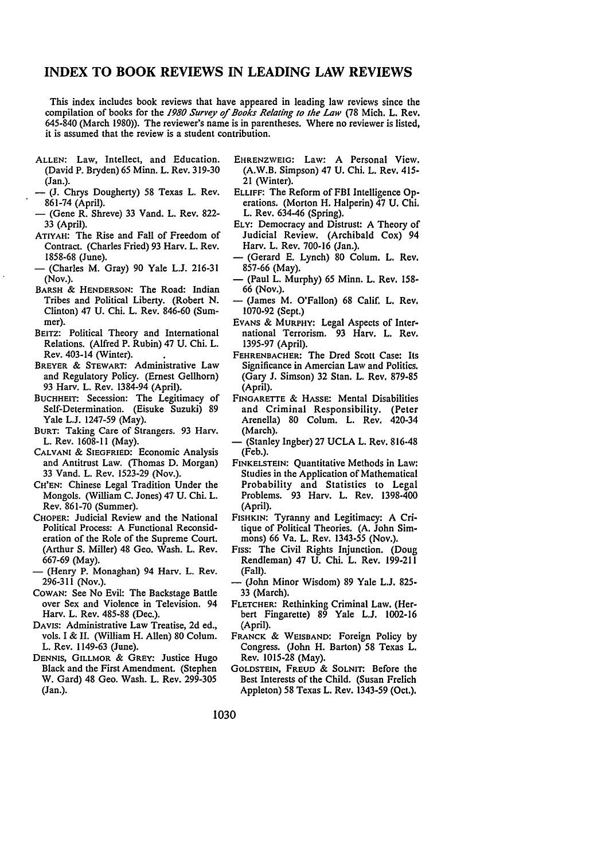## **INDEX TO BOOK REVIEWS IN LEADING LAW REVIEWS**

This index includes book reviews that have appeared in leading law reviews since the compilation of books for the *1980 Survey of Books Relating to the Law* (78 Mich. L. Rev. 645-840 (March 1980)). The reviewer's name is in parentheses. Where no reviewer is listed, it is assumed that the review is a student contribution.

- ALLEN: Law, Intellect, and Education. (David P. Bryden) 65 Minn. L. Rev. 319-30 (Jan.).
- (J. Chrys Dougherty) 58 Texas L. Rev. 861-74 (April).
- (Gene R. Shreve) 33 Vand. L. Rev. 822- 33 (April).
- ATIYAH: The Rise and Fall of Freedom of Contract. (Charles Fried) 93 Harv. L. Rev. I 858-68 (June).
- (Charles **M.** Gray) 90 Yale L.J. 216-31 (Nov.).
- BARSH & HENDERSON: The Road: Indian Tribes and Political Liberty. (Robert N. Clinton) 47 U. Chi. L. Rev. 846-60 (Summer).
- BEITZ: Political Theory and International Relations. (Alfred P. Rubin) 47 U. Chi. L. Rev. 403-14 (Winter).
- BREYER & STEWART: Administrative Law and Regulatory Policy. (Ernest Gellhorn) 93 Harv. L. Rev. 1384-94 (April).
- BUCHHEIT: Secession: The Legitimacy of Self-Determination. (Eisuke Suzuki) 89 Yale L.J. 1247-59 (May).
- BURT: Taking Care of Strangers. 93 Harv. L. Rev. 1608-11 (May).
- CALVANI & SIEGFRIED: Economic Analysis and Antitrust Law. (Thomas D. Morgan) 33 Vand. L. Rev. 1523-29 (Nov.).
- CH'EN: Chinese Legal Tradition Under the Mongols. (William C. Jones) 47 U. Chi. L. Rev. 861-70 (Summer).
- CHOPER: Judicial Review and the National Political Process: A Functional Reconsideration of the Role of the Supreme Court. (Arthur S. Miller) 48 Geo. Wash. L. Rev. 667-69 (May).
- (Henry P. Monaghan) 94 Harv. L. Rev. 296-311 (Nov.).
- COWAN: See No Evil: The Backstage Battle over Sex and Violence in Television. 94 Harv. L. Rev. 485-88 (Dec.).
- DAVIS: Administrative Law Treatise, 2d ed., vols. I & II. (William H. Allen) 80 Colum. L. Rev. 1149-63 (June).
- DENNIS, GILLMOR & GREY: Justice Hugo Black and the First Amendment. (Stephen W. Gard) 48 Geo. Wash. L. Rev. 299-305 (Jan.).
- EHRENZWEIG: Law: A Personal View. (A.W.B. Simpson) 47 U. Chi. L. Rev. 41S-21 (Winter).
- ELLIFF: The Reform of FBI Intelligence Operations. (Morton H. Halperin) 47 U. Chi. L. Rev. 634-46 (Spring).
- ELY: Democracy and Distrust: A Theory of Judicial Review. (Archibald Cox) 94 Harv. L. Rev. 700-16 (Jan.).
- (Gerard E. Lynch) 80 Colum. L. Rev. 857-66 (May).
- (Paul L. Murphy) 65 Minn. L. Rev. 158- 66 (Nov.).
- (James M. O'Fallon) 68 Calif. L. Rev. 1070-92 (Sept.)
- EVANS & MURPHY: Legal Aspects of International Terrorism. 93 Harv. L. Rev. 1395-97 (April).
- FEHRENBACHER: The Dred Scott Case: Its Significance in Amercian Law and Politics. (Gary J. Simson) 32 Stan. L. Rev. 879-8S (April).
- FINGARETTE & HASSE: Mental Disabilities and Criminal Responsibility. (Peter Arenella) 80 Colum. L. Rev. 420-34 (March).
- (Stanley Ingber) 27 UCLA L. Rev. 816-48 (Feb.).
- FINKELSTEIN: Quantitative Methods in Law: Studies in the Application of Mathematical Probability and Statistics to Legal Problems. 93 Harv. L. Rev. 1398-400 (April).
- FISHKIN: Tyranny and Legitimacy: A Critique of Political Theories. (A. John Simmons) 66 Va. L. Rev. 1343-55 (Nov.).
- FISS: The Civil Rights Injunction. (Doug Rendleman) 47 U. Chi. L. Rev. 199-211 (Fall).
- (John Minor Wisdom) 89 Yale L.J. 825- 33 (March).
- FLETCHER: Rethinking Criminal Law, (Herbert Fingarette) 89 Yale L.J. 1002-16 (April).
- FRANCK & WEISBAND: Foreign Policy by Congress. (John H. Barton) 58 Texas L. Rev. 1015-28 (May).
- GOLDSTEIN, FREUD & SOLNIT: Before the Best Interests of the Child. (Susan Frelich Appleton) 58 Texas L. Rev. 1343-S9 (Oct.).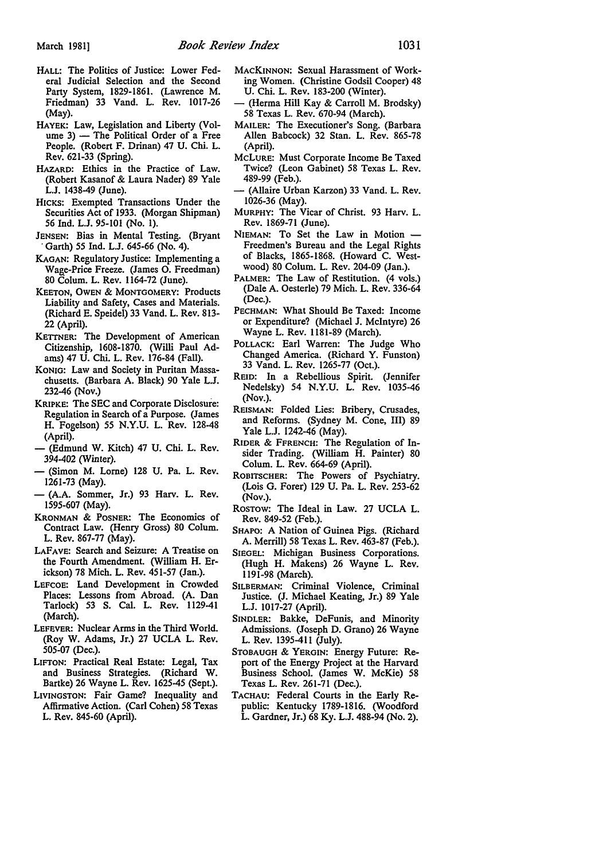- HALL: The Politics of Justice: Lower Federal Judicial Selection and the Second Party System, 1829-1861. (Lawrence M. Friedman) 33 Vand. L. Rev. 1017-26 (May).
- HAYEK: Law, Legislation and Liberty (Volume  $3$ ) - The Political Order of a Free People. (Robert F. Drinan) 47 U. Chi. L. Rev. 621-33 (Spring).
- HAZARD: Ethics in the Practice of Law. (Robert Kasanof & Laura Nader) 89 Yale L.J. 1438-49 (June).
- HICKS: Exempted Transactions Under the Securities Act of 1933. (Morgan Shipman) 56 Ind. L.J. 95-101 (No. I).
- JENSEN: Bias in Mental Testing. (Bryant · Garth) *55* Ind. L.J. 645-66 (No. 4).
- KAGAN: Regulatory Justice: Implementing a Wage-Price Freeze. (James 0. Freedman) 80 Colum. L. Rev. 1164-72 (June).
- KEETON, OWEN & MONTGOMERY: Products Liability and Safety, Cases and Materials. (Richard E. Speidel) 33 Vand. L. Rev. 813- 22 (April).
- KETTNER: The Development of American Citizenship, 1608-1870. (Willi Paul Adams) 47 U. Chi. L. Rev. 176-84 (Fall).
- KONIG: Law and Society in Puritan Massachusetts. (Barbara A. Black) 90 Yale L.J. 232-46 (Nov.)
- KRIPKE: The SEC and Corporate Disclosure: Regulation in Search of a Purpose. (James H. Fogelson) *55* N.Y.U. L. Rev. 128-48 (April).
- (Edmund W. Kitch) 47 U. Chi. L. Rev. 394-402 (Winter).
- (Simon M. Lome) 128 U. Pa. L. Rev. 1261-73 (May).
- (A.A. Sommer, Jr.) 93 Harv. L. Rev. 1595-607 (May).
- KRONMAN & POSNER: The Economics of Contract Law. (Henry Gross) 80 Colum. L. Rev. 867-77 (May).
- LAFAVE: Search and Seizure: A Treatise on the Fourth Amendment. (William H. Erickson) 78 Mich. L. Rev. 451-57 (Jan.).
- LEFCOE: Land Development in Crowded Places: Lessons from Abroad. (A. Dan Tarlock) 53 S. Cal. L. Rev. 1129-41 (March).
- LEFEVER: Nuclear Arms in the Third World. (Roy W. Adams, Jr.) 27 UCLA L. Rev. 505-07 (Dec.).
- LIFTON: Practical Real Estate: Legal, Tax and Business Strategies. (Richard W. Bartke) 26 Wayne L. Rev. 1625-45 (Sept.).
- LIVINGSTON: Fair Game? Inequality and Affirmative Action. (Carl Cohen) 58 Texas L. Rev. 845-60 {April).
- MACKINNON: Sexual Harassment of Working Women. (Christine Godsil Cooper) 48 U. Chi. L. Rev. 183-200 (Winter).
- (Herma Hill Kay & Carroll M. Brodsky) 58 Texas L. Rev. 670-94 (March).
- MAILER: The Executioner's Song. (Barbara Allen Babcock) 32 Stan. L. Rev. 865-78 (April).
- MCLURE: Must Corporate Income Be Taxed Twice? (Leon Gabinet) 58 Texas L. Rev. 489-99 (Feb.).
- (Allaire Urban Karzon) 33 Vand. L. Rev. 1026-36 (May).
- MURPHY: The Vicar of Christ. 93 Harv. L. Rev. 1869-71 (June).
- NIEMAN: To Set the Law in Motion -Freedmen's Bureau and the Legal Rights of Blacks, 1865-1868. (Howard C. Westwood) 80 Colum. L. Rev. 204-09 (Jan.).
- PALMER: The Law of Restitution. (4 vols.) (Dale A. Oesterle) 79 Mich. L. Rev. 336-64 (Dec.).
- PECHMAN: What Should Be Taxed: Income or Expenditure? (Michael J. McIntyre) 26 Wayne L. Rev. 1181-89 (March).
- POLLACK: Earl Warren: The Judge Who Changed America. (Richard Y. Funston) 33 Vand. L. Rev. 1265-77 (Oct.).
- REID: In a Rebellious Spirit. (Jennifer Nedelsky) 54 N.Y.U. L. Rev. 1035-46 (Nov.).
- REISMAN: Folded Lies: Bribery, Crusades, and Reforms. (Sydney M. Cone, III) 89 Yale L.J. 1242-46 (May).
- RIDER & FFRENCH: The Regulation of Insider Trading. (William H. Painter) 80 Colum. L. Rev. 664-69 {April).
- ROBITSCHER: The Powers of Psychiatry. (Lois G. Forer) 129 U. Pa. L. Rev. 253-62 (Nov.).
- Rostow: The Ideal in Law. 27 UCLA L. Rev. 849-52 (Feb.).
- SHAPO: A Nation of Guinea Pigs. (Richard A. Merrill) 58 Texas L. Rev. 463-87 (Feb.).
- SIEGEL: Michigan Business Corporations. (Hugh H. Makens) 26 Wayne L. Rev. 1191-98 (March).
- SILBERMAN: Criminal Violence, Criminal Justice. (J. Michael Keating, Jr.) 89 Yale L.J. 1017-27 (April).
- SINDLER: Bakke, DeFunis, and Minority Admissions. (Joseph D. Grano) 26 Wayne L. Rev. 1395-411 (July).
- STOBAUGH & YERGIN: Energy Future: Report of the Energy Project at the Harvard Business School. (James W. McKie) 58 Texas L. Rev. 261-71 (Dec.).
- TACHAU: Federal Courts in the Early Republic: Kentucky 1789-1816. (Woodford L. Gardner, Jr.) 68 Ky. L.J. 488-94 (No. 2).